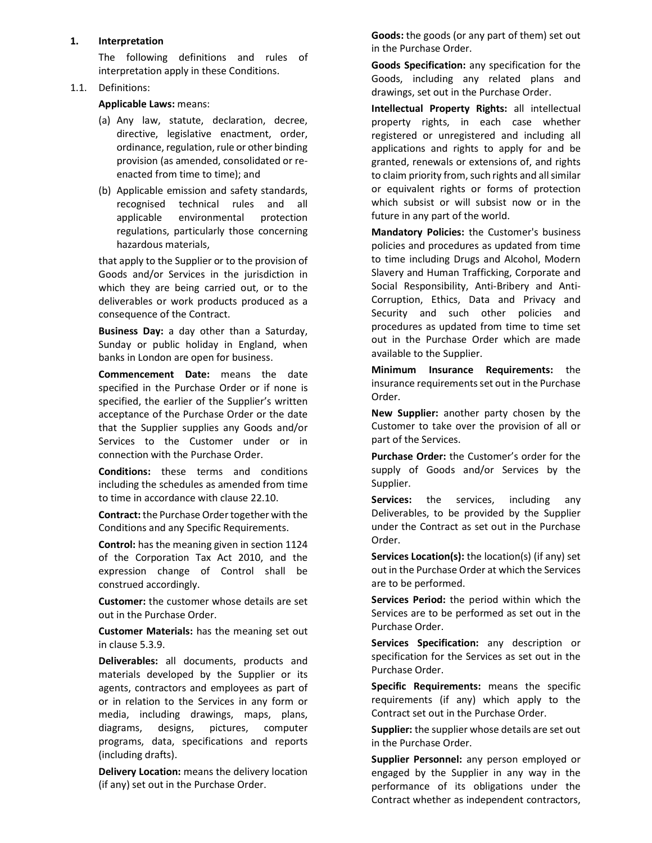#### 1. Interpretation

The following definitions and rules of interpretation apply in these Conditions.

### 1.1. Definitions:

Applicable Laws: means:

- (a) Any law, statute, declaration, decree, directive, legislative enactment, order, ordinance, regulation, rule or other binding provision (as amended, consolidated or reenacted from time to time); and
- (b) Applicable emission and safety standards, recognised technical rules and all applicable environmental protection regulations, particularly those concerning hazardous materials,

that apply to the Supplier or to the provision of Goods and/or Services in the jurisdiction in which they are being carried out, or to the deliverables or work products produced as a consequence of the Contract.

Business Day: a day other than a Saturday, Sunday or public holiday in England, when banks in London are open for business.

Commencement Date: means the date specified in the Purchase Order or if none is specified, the earlier of the Supplier's written acceptance of the Purchase Order or the date that the Supplier supplies any Goods and/or Services to the Customer under or in connection with the Purchase Order.

Conditions: these terms and conditions including the schedules as amended from time to time in accordance with clause 22.10.

Contract: the Purchase Order together with the Conditions and any Specific Requirements.

Control: has the meaning given in section 1124 of the Corporation Tax Act 2010, and the expression change of Control shall be construed accordingly.

Customer: the customer whose details are set out in the Purchase Order.

Customer Materials: has the meaning set out in clause 5.3.9.

Deliverables: all documents, products and materials developed by the Supplier or its agents, contractors and employees as part of or in relation to the Services in any form or media, including drawings, maps, plans, diagrams, designs, pictures, computer programs, data, specifications and reports (including drafts).

Delivery Location: means the delivery location (if any) set out in the Purchase Order.

Goods: the goods (or any part of them) set out in the Purchase Order.

Goods Specification: any specification for the Goods, including any related plans and drawings, set out in the Purchase Order.

Intellectual Property Rights: all intellectual property rights, in each case whether registered or unregistered and including all applications and rights to apply for and be granted, renewals or extensions of, and rights to claim priority from, such rights and all similar or equivalent rights or forms of protection which subsist or will subsist now or in the future in any part of the world.

Mandatory Policies: the Customer's business policies and procedures as updated from time to time including Drugs and Alcohol, Modern Slavery and Human Trafficking, Corporate and Social Responsibility, Anti-Bribery and Anti-Corruption, Ethics, Data and Privacy and Security and such other policies and procedures as updated from time to time set out in the Purchase Order which are made available to the Supplier.

Minimum Insurance Requirements: the insurance requirements set out in the Purchase Order.

New Supplier: another party chosen by the Customer to take over the provision of all or part of the Services.

Purchase Order: the Customer's order for the supply of Goods and/or Services by the Supplier.

Services: the services, including any Deliverables, to be provided by the Supplier under the Contract as set out in the Purchase Order.

Services Location(s): the location(s) (if any) set out in the Purchase Order at which the Services are to be performed.

Services Period: the period within which the Services are to be performed as set out in the Purchase Order.

Services Specification: any description or specification for the Services as set out in the Purchase Order.

Specific Requirements: means the specific requirements (if any) which apply to the Contract set out in the Purchase Order.

Supplier: the supplier whose details are set out in the Purchase Order.

Supplier Personnel: any person employed or engaged by the Supplier in any way in the performance of its obligations under the Contract whether as independent contractors,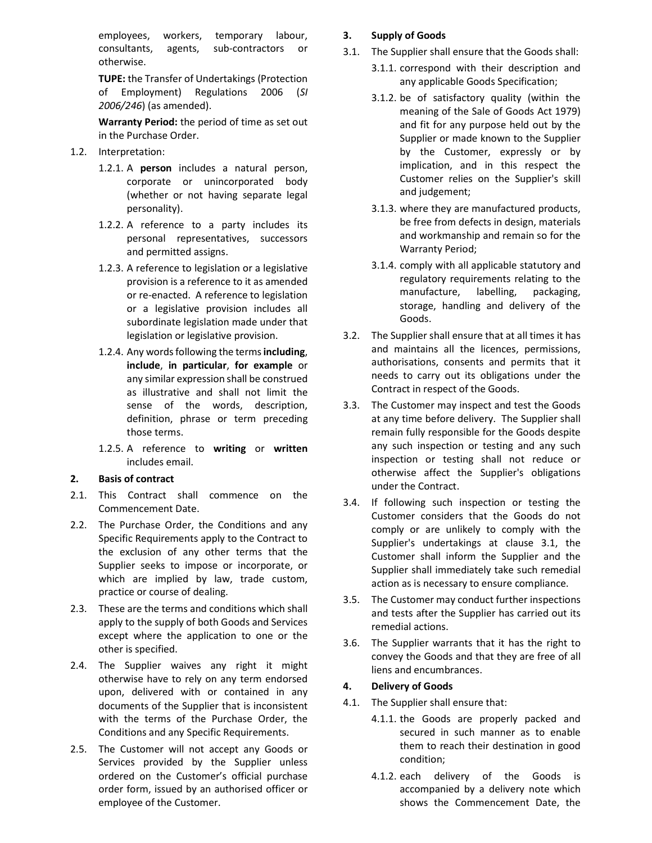employees, workers, temporary labour, consultants, agents, sub-contractors or otherwise.

TUPE: the Transfer of Undertakings (Protection of Employment) Regulations 2006 (SI 2006/246) (as amended).

Warranty Period: the period of time as set out in the Purchase Order.

- 1.2. Interpretation:
	- 1.2.1. A **person** includes a natural person, corporate or unincorporated body (whether or not having separate legal personality).
	- 1.2.2. A reference to a party includes its personal representatives, successors and permitted assigns.
	- 1.2.3. A reference to legislation or a legislative provision is a reference to it as amended or re-enacted. A reference to legislation or a legislative provision includes all subordinate legislation made under that legislation or legislative provision.
	- 1.2.4. Any words following the terms including, include, in particular, for example or any similar expression shall be construed as illustrative and shall not limit the sense of the words, description, definition, phrase or term preceding those terms.
	- 1.2.5. A reference to writing or written includes email.

#### 2. Basis of contract

- 2.1. This Contract shall commence on the Commencement Date.
- 2.2. The Purchase Order, the Conditions and any Specific Requirements apply to the Contract to the exclusion of any other terms that the Supplier seeks to impose or incorporate, or which are implied by law, trade custom, practice or course of dealing.
- 2.3. These are the terms and conditions which shall apply to the supply of both Goods and Services except where the application to one or the other is specified.
- 2.4. The Supplier waives any right it might otherwise have to rely on any term endorsed upon, delivered with or contained in any documents of the Supplier that is inconsistent with the terms of the Purchase Order, the Conditions and any Specific Requirements.
- 2.5. The Customer will not accept any Goods or Services provided by the Supplier unless ordered on the Customer's official purchase order form, issued by an authorised officer or employee of the Customer.

### 3. Supply of Goods

- 3.1. The Supplier shall ensure that the Goods shall:
	- 3.1.1. correspond with their description and any applicable Goods Specification;
	- 3.1.2. be of satisfactory quality (within the meaning of the Sale of Goods Act 1979) and fit for any purpose held out by the Supplier or made known to the Supplier by the Customer, expressly or by implication, and in this respect the Customer relies on the Supplier's skill and judgement;
	- 3.1.3. where they are manufactured products, be free from defects in design, materials and workmanship and remain so for the Warranty Period;
	- 3.1.4. comply with all applicable statutory and regulatory requirements relating to the manufacture, labelling, packaging, storage, handling and delivery of the Goods.
- 3.2. The Supplier shall ensure that at all times it has and maintains all the licences, permissions, authorisations, consents and permits that it needs to carry out its obligations under the Contract in respect of the Goods.
- 3.3. The Customer may inspect and test the Goods at any time before delivery. The Supplier shall remain fully responsible for the Goods despite any such inspection or testing and any such inspection or testing shall not reduce or otherwise affect the Supplier's obligations under the Contract.
- 3.4. If following such inspection or testing the Customer considers that the Goods do not comply or are unlikely to comply with the Supplier's undertakings at clause 3.1, the Customer shall inform the Supplier and the Supplier shall immediately take such remedial action as is necessary to ensure compliance.
- 3.5. The Customer may conduct further inspections and tests after the Supplier has carried out its remedial actions.
- 3.6. The Supplier warrants that it has the right to convey the Goods and that they are free of all liens and encumbrances.

#### 4. Delivery of Goods

- 4.1. The Supplier shall ensure that:
	- 4.1.1. the Goods are properly packed and secured in such manner as to enable them to reach their destination in good condition;
	- 4.1.2. each delivery of the Goods is accompanied by a delivery note which shows the Commencement Date, the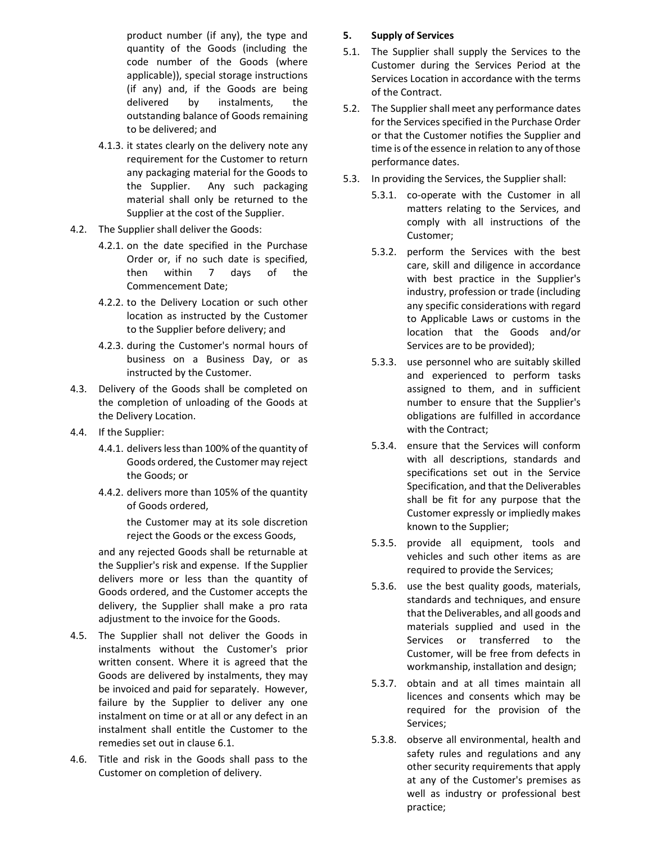product number (if any), the type and quantity of the Goods (including the code number of the Goods (where applicable)), special storage instructions (if any) and, if the Goods are being delivered by instalments, the outstanding balance of Goods remaining to be delivered; and

- 4.1.3. it states clearly on the delivery note any requirement for the Customer to return any packaging material for the Goods to the Supplier. Any such packaging material shall only be returned to the Supplier at the cost of the Supplier.
- 4.2. The Supplier shall deliver the Goods:
	- 4.2.1. on the date specified in the Purchase Order or, if no such date is specified, then within 7 days of the Commencement Date;
	- 4.2.2. to the Delivery Location or such other location as instructed by the Customer to the Supplier before delivery; and
	- 4.2.3. during the Customer's normal hours of business on a Business Day, or as instructed by the Customer.
- 4.3. Delivery of the Goods shall be completed on the completion of unloading of the Goods at the Delivery Location.
- 4.4. If the Supplier:
	- 4.4.1. delivers less than 100% of the quantity of Goods ordered, the Customer may reject the Goods; or
	- 4.4.2. delivers more than 105% of the quantity of Goods ordered,

the Customer may at its sole discretion reject the Goods or the excess Goods,

and any rejected Goods shall be returnable at the Supplier's risk and expense. If the Supplier delivers more or less than the quantity of Goods ordered, and the Customer accepts the delivery, the Supplier shall make a pro rata adjustment to the invoice for the Goods.

- 4.5. The Supplier shall not deliver the Goods in instalments without the Customer's prior written consent. Where it is agreed that the Goods are delivered by instalments, they may be invoiced and paid for separately. However, failure by the Supplier to deliver any one instalment on time or at all or any defect in an instalment shall entitle the Customer to the remedies set out in clause 6.1.
- 4.6. Title and risk in the Goods shall pass to the Customer on completion of delivery.

#### 5. Supply of Services

- 5.1. The Supplier shall supply the Services to the Customer during the Services Period at the Services Location in accordance with the terms of the Contract.
- 5.2. The Supplier shall meet any performance dates for the Services specified in the Purchase Order or that the Customer notifies the Supplier and time is of the essence in relation to any of those performance dates.
- 5.3. In providing the Services, the Supplier shall:
	- 5.3.1. co-operate with the Customer in all matters relating to the Services, and comply with all instructions of the Customer;
	- 5.3.2. perform the Services with the best care, skill and diligence in accordance with best practice in the Supplier's industry, profession or trade (including any specific considerations with regard to Applicable Laws or customs in the location that the Goods and/or Services are to be provided);
	- 5.3.3. use personnel who are suitably skilled and experienced to perform tasks assigned to them, and in sufficient number to ensure that the Supplier's obligations are fulfilled in accordance with the Contract;
	- 5.3.4. ensure that the Services will conform with all descriptions, standards and specifications set out in the Service Specification, and that the Deliverables shall be fit for any purpose that the Customer expressly or impliedly makes known to the Supplier;
	- 5.3.5. provide all equipment, tools and vehicles and such other items as are required to provide the Services;
	- 5.3.6. use the best quality goods, materials, standards and techniques, and ensure that the Deliverables, and all goods and materials supplied and used in the Services or transferred to the Customer, will be free from defects in workmanship, installation and design;
	- 5.3.7. obtain and at all times maintain all licences and consents which may be required for the provision of the Services;
	- 5.3.8. observe all environmental, health and safety rules and regulations and any other security requirements that apply at any of the Customer's premises as well as industry or professional best practice;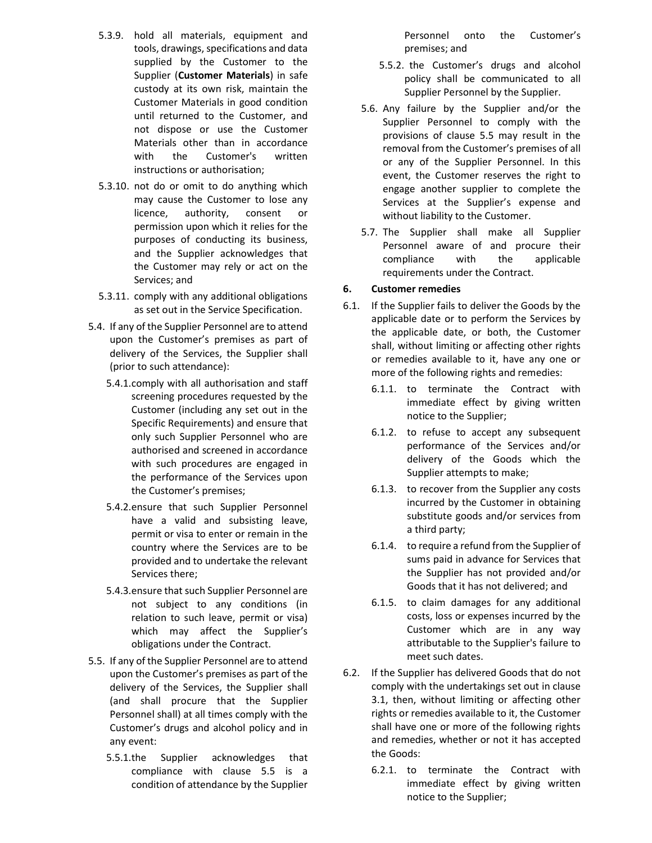- 5.3.9. hold all materials, equipment and tools, drawings, specifications and data supplied by the Customer to the Supplier (Customer Materials) in safe custody at its own risk, maintain the Customer Materials in good condition until returned to the Customer, and not dispose or use the Customer Materials other than in accordance with the Customer's written instructions or authorisation;
- 5.3.10. not do or omit to do anything which may cause the Customer to lose any licence, authority, consent or permission upon which it relies for the purposes of conducting its business, and the Supplier acknowledges that the Customer may rely or act on the Services; and
- 5.3.11. comply with any additional obligations as set out in the Service Specification.
- 5.4. If any of the Supplier Personnel are to attend upon the Customer's premises as part of delivery of the Services, the Supplier shall (prior to such attendance):
	- 5.4.1.comply with all authorisation and staff screening procedures requested by the Customer (including any set out in the Specific Requirements) and ensure that only such Supplier Personnel who are authorised and screened in accordance with such procedures are engaged in the performance of the Services upon the Customer's premises;
	- 5.4.2.ensure that such Supplier Personnel have a valid and subsisting leave, permit or visa to enter or remain in the country where the Services are to be provided and to undertake the relevant Services there;
	- 5.4.3.ensure that such Supplier Personnel are not subject to any conditions (in relation to such leave, permit or visa) which may affect the Supplier's obligations under the Contract.
- 5.5. If any of the Supplier Personnel are to attend upon the Customer's premises as part of the delivery of the Services, the Supplier shall (and shall procure that the Supplier Personnel shall) at all times comply with the Customer's drugs and alcohol policy and in any event:
	- 5.5.1.the Supplier acknowledges that compliance with clause 5.5 is a condition of attendance by the Supplier

Personnel onto the Customer's premises; and

- 5.5.2. the Customer's drugs and alcohol policy shall be communicated to all Supplier Personnel by the Supplier.
- 5.6. Any failure by the Supplier and/or the Supplier Personnel to comply with the provisions of clause 5.5 may result in the removal from the Customer's premises of all or any of the Supplier Personnel. In this event, the Customer reserves the right to engage another supplier to complete the Services at the Supplier's expense and without liability to the Customer.
- 5.7. The Supplier shall make all Supplier Personnel aware of and procure their compliance with the applicable requirements under the Contract.

# 6. Customer remedies

- 6.1. If the Supplier fails to deliver the Goods by the applicable date or to perform the Services by the applicable date, or both, the Customer shall, without limiting or affecting other rights or remedies available to it, have any one or more of the following rights and remedies:
	- 6.1.1. to terminate the Contract with immediate effect by giving written notice to the Supplier;
	- 6.1.2. to refuse to accept any subsequent performance of the Services and/or delivery of the Goods which the Supplier attempts to make;
	- 6.1.3. to recover from the Supplier any costs incurred by the Customer in obtaining substitute goods and/or services from a third party;
	- 6.1.4. to require a refund from the Supplier of sums paid in advance for Services that the Supplier has not provided and/or Goods that it has not delivered; and
	- 6.1.5. to claim damages for any additional costs, loss or expenses incurred by the Customer which are in any way attributable to the Supplier's failure to meet such dates.
- 6.2. If the Supplier has delivered Goods that do not comply with the undertakings set out in clause 3.1, then, without limiting or affecting other rights or remedies available to it, the Customer shall have one or more of the following rights and remedies, whether or not it has accepted the Goods:
	- 6.2.1. to terminate the Contract with immediate effect by giving written notice to the Supplier;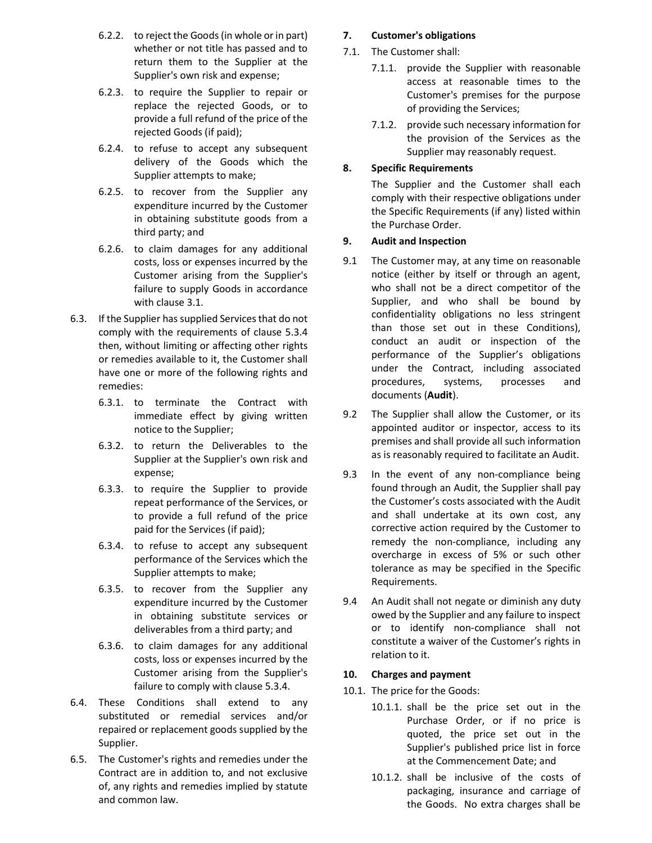- 6.2.2. to reject the Goods (in whole or in part) whether or not title has passed and to return them to the Supplier at the Supplier's own risk and expense;
- 6.2.3. to require the Supplier to repair or replace the rejected Goods, or to provide a full refund of the price of the rejected Goods (if paid);
- 6.2.4. to refuse to accept any subsequent delivery of the Goods which the Supplier attempts to make;
- 6.2.5. to recover from the Supplier any expenditure incurred by the Customer in obtaining substitute goods from a third party; and
- 6.2.6. to claim damages for any additional costs, loss or expenses incurred by the Customer arising from the Supplier's failure to supply Goods in accordance with clause 3.1.
- 6.3. If the Supplier has supplied Services that do not comply with the requirements of clause 5.3.4 then, without limiting or affecting other rights or remedies available to it, the Customer shall have one or more of the following rights and remedies:
	- 6.3.1. to terminate the Contract with immediate effect by giving written notice to the Supplier;
	- 6.3.2. to return the Deliverables to the Supplier at the Supplier's own risk and expense;
	- 6.3.3. to require the Supplier to provide repeat performance of the Services, or to provide a full refund of the price paid for the Services (if paid);
	- 6.3.4. to refuse to accept any subsequent performance of the Services which the Supplier attempts to make;
	- 6.3.5. to recover from the Supplier any expenditure incurred by the Customer in obtaining substitute services or deliverables from a third party; and
	- 6.3.6. to claim damages for any additional costs, loss or expenses incurred by the Customer arising from the Supplier's failure to comply with clause 5.3.4.
- 6.4. These Conditions shall extend to any substituted or remedial services and/or repaired or replacement goods supplied by the Supplier.
- 6.5. The Customer's rights and remedies under the Contract are in addition to, and not exclusive of, any rights and remedies implied by statute and common law.

# 7. Customer's obligations

- 7.1. The Customer shall:
	- 7.1.1. provide the Supplier with reasonable access at reasonable times to the Customer's premises for the purpose of providing the Services;
	- 7.1.2. provide such necessary information for the provision of the Services as the Supplier may reasonably request.

# 8. Specific Requirements

The Supplier and the Customer shall each comply with their respective obligations under the Specific Requirements (if any) listed within the Purchase Order.

# 9. Audit and Inspection

- 9.1 The Customer may, at any time on reasonable notice (either by itself or through an agent, who shall not be a direct competitor of the Supplier, and who shall be bound by confidentiality obligations no less stringent than those set out in these Conditions), conduct an audit or inspection of the performance of the Supplier's obligations under the Contract, including associated procedures, systems, processes and documents (Audit).
- 9.2 The Supplier shall allow the Customer, or its appointed auditor or inspector, access to its premises and shall provide all such information as is reasonably required to facilitate an Audit.
- 9.3 In the event of any non-compliance being found through an Audit, the Supplier shall pay the Customer's costs associated with the Audit and shall undertake at its own cost, any corrective action required by the Customer to remedy the non-compliance, including any overcharge in excess of 5% or such other tolerance as may be specified in the Specific Requirements.
- 9.4 An Audit shall not negate or diminish any duty owed by the Supplier and any failure to inspect or to identify non-compliance shall not constitute a waiver of the Customer's rights in relation to it.

# 10. Charges and payment

- 10.1. The price for the Goods:
	- 10.1.1. shall be the price set out in the Purchase Order, or if no price is quoted, the price set out in the Supplier's published price list in force at the Commencement Date; and
	- 10.1.2. shall be inclusive of the costs of packaging, insurance and carriage of the Goods. No extra charges shall be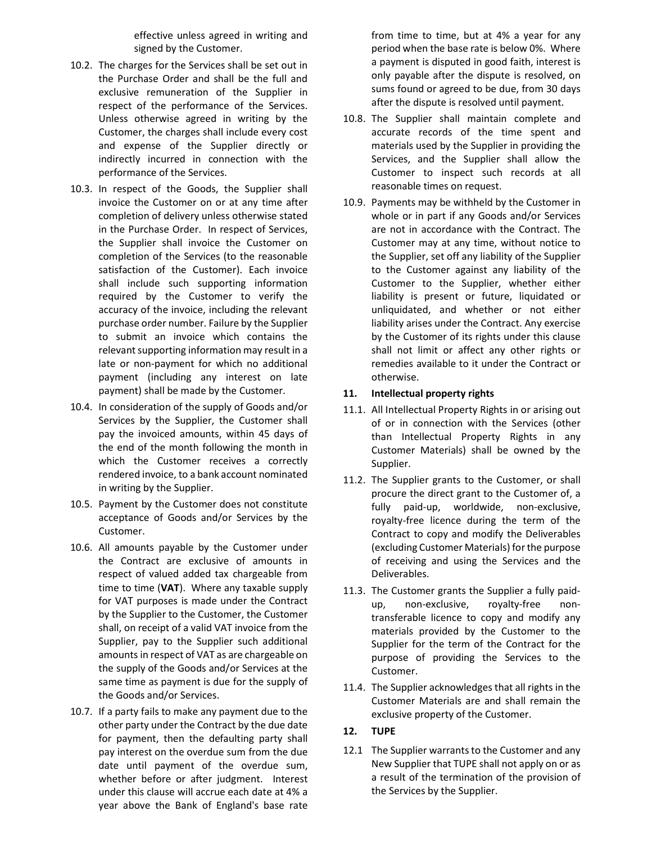effective unless agreed in writing and signed by the Customer.

- 10.2. The charges for the Services shall be set out in the Purchase Order and shall be the full and exclusive remuneration of the Supplier in respect of the performance of the Services. Unless otherwise agreed in writing by the Customer, the charges shall include every cost and expense of the Supplier directly or indirectly incurred in connection with the performance of the Services.
- 10.3. In respect of the Goods, the Supplier shall invoice the Customer on or at any time after completion of delivery unless otherwise stated in the Purchase Order. In respect of Services, the Supplier shall invoice the Customer on completion of the Services (to the reasonable satisfaction of the Customer). Each invoice shall include such supporting information required by the Customer to verify the accuracy of the invoice, including the relevant purchase order number. Failure by the Supplier to submit an invoice which contains the relevant supporting information may result in a late or non-payment for which no additional payment (including any interest on late payment) shall be made by the Customer.
- 10.4. In consideration of the supply of Goods and/or Services by the Supplier, the Customer shall pay the invoiced amounts, within 45 days of the end of the month following the month in which the Customer receives a correctly rendered invoice, to a bank account nominated in writing by the Supplier.
- 10.5. Payment by the Customer does not constitute acceptance of Goods and/or Services by the Customer.
- 10.6. All amounts payable by the Customer under the Contract are exclusive of amounts in respect of valued added tax chargeable from time to time (VAT). Where any taxable supply for VAT purposes is made under the Contract by the Supplier to the Customer, the Customer shall, on receipt of a valid VAT invoice from the Supplier, pay to the Supplier such additional amounts in respect of VAT as are chargeable on the supply of the Goods and/or Services at the same time as payment is due for the supply of the Goods and/or Services.
- 10.7. If a party fails to make any payment due to the other party under the Contract by the due date for payment, then the defaulting party shall pay interest on the overdue sum from the due date until payment of the overdue sum, whether before or after judgment. Interest under this clause will accrue each date at 4% a year above the Bank of England's base rate

from time to time, but at 4% a year for any period when the base rate is below 0%. Where a payment is disputed in good faith, interest is only payable after the dispute is resolved, on sums found or agreed to be due, from 30 days after the dispute is resolved until payment.

- 10.8. The Supplier shall maintain complete and accurate records of the time spent and materials used by the Supplier in providing the Services, and the Supplier shall allow the Customer to inspect such records at all reasonable times on request.
- 10.9. Payments may be withheld by the Customer in whole or in part if any Goods and/or Services are not in accordance with the Contract. The Customer may at any time, without notice to the Supplier, set off any liability of the Supplier to the Customer against any liability of the Customer to the Supplier, whether either liability is present or future, liquidated or unliquidated, and whether or not either liability arises under the Contract. Any exercise by the Customer of its rights under this clause shall not limit or affect any other rights or remedies available to it under the Contract or otherwise.

#### 11. Intellectual property rights

- 11.1. All Intellectual Property Rights in or arising out of or in connection with the Services (other than Intellectual Property Rights in any Customer Materials) shall be owned by the Supplier.
- 11.2. The Supplier grants to the Customer, or shall procure the direct grant to the Customer of, a fully paid-up, worldwide, non-exclusive, royalty-free licence during the term of the Contract to copy and modify the Deliverables (excluding Customer Materials) for the purpose of receiving and using the Services and the Deliverables.
- 11.3. The Customer grants the Supplier a fully paidup, non-exclusive, royalty-free nontransferable licence to copy and modify any materials provided by the Customer to the Supplier for the term of the Contract for the purpose of providing the Services to the Customer.
- 11.4. The Supplier acknowledges that all rights in the Customer Materials are and shall remain the exclusive property of the Customer.
- 12. TUPE
- 12.1 The Supplier warrants to the Customer and any New Supplier that TUPE shall not apply on or as a result of the termination of the provision of the Services by the Supplier.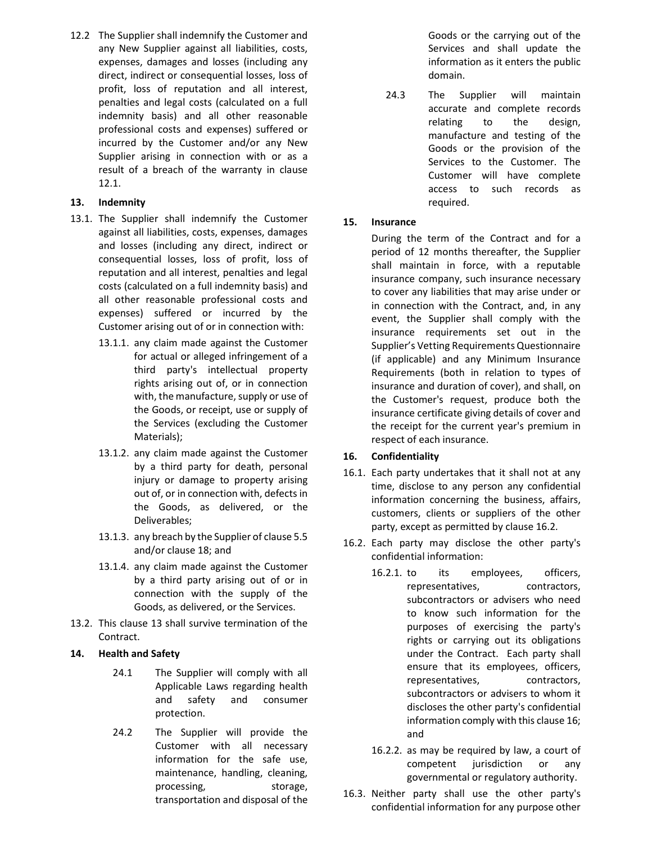12.2 The Supplier shall indemnify the Customer and any New Supplier against all liabilities, costs, expenses, damages and losses (including any direct, indirect or consequential losses, loss of profit, loss of reputation and all interest, penalties and legal costs (calculated on a full indemnity basis) and all other reasonable professional costs and expenses) suffered or incurred by the Customer and/or any New Supplier arising in connection with or as a result of a breach of the warranty in clause 12.1.

# 13. Indemnity

- 13.1. The Supplier shall indemnify the Customer against all liabilities, costs, expenses, damages and losses (including any direct, indirect or consequential losses, loss of profit, loss of reputation and all interest, penalties and legal costs (calculated on a full indemnity basis) and all other reasonable professional costs and expenses) suffered or incurred by the Customer arising out of or in connection with:
	- 13.1.1. any claim made against the Customer for actual or alleged infringement of a third party's intellectual property rights arising out of, or in connection with, the manufacture, supply or use of the Goods, or receipt, use or supply of the Services (excluding the Customer Materials);
	- 13.1.2. any claim made against the Customer by a third party for death, personal injury or damage to property arising out of, or in connection with, defects in the Goods, as delivered, or the Deliverables;
	- 13.1.3. any breach by the Supplier of clause 5.5 and/or clause 18; and
	- 13.1.4. any claim made against the Customer by a third party arising out of or in connection with the supply of the Goods, as delivered, or the Services.
- 13.2. This clause 13 shall survive termination of the Contract.

#### 14. Health and Safety

- 24.1 The Supplier will comply with all Applicable Laws regarding health and safety and consumer protection.
- 24.2 The Supplier will provide the Customer with all necessary information for the safe use, maintenance, handling, cleaning, processing, storage, transportation and disposal of the

Goods or the carrying out of the Services and shall update the information as it enters the public domain.

24.3 The Supplier will maintain accurate and complete records relating to the design, manufacture and testing of the Goods or the provision of the Services to the Customer. The Customer will have complete access to such records as required.

### 15. Insurance

During the term of the Contract and for a period of 12 months thereafter, the Supplier shall maintain in force, with a reputable insurance company, such insurance necessary to cover any liabilities that may arise under or in connection with the Contract, and, in any event, the Supplier shall comply with the insurance requirements set out in the Supplier's Vetting Requirements Questionnaire (if applicable) and any Minimum Insurance Requirements (both in relation to types of insurance and duration of cover), and shall, on the Customer's request, produce both the insurance certificate giving details of cover and the receipt for the current year's premium in respect of each insurance.

#### 16. Confidentiality

- 16.1. Each party undertakes that it shall not at any time, disclose to any person any confidential information concerning the business, affairs, customers, clients or suppliers of the other party, except as permitted by clause 16.2.
- 16.2. Each party may disclose the other party's confidential information:
	- 16.2.1. to its employees, officers, representatives, contractors, subcontractors or advisers who need to know such information for the purposes of exercising the party's rights or carrying out its obligations under the Contract. Each party shall ensure that its employees, officers, representatives, contractors, subcontractors or advisers to whom it discloses the other party's confidential information comply with this clause 16; and
	- 16.2.2. as may be required by law, a court of competent jurisdiction or any governmental or regulatory authority.
- 16.3. Neither party shall use the other party's confidential information for any purpose other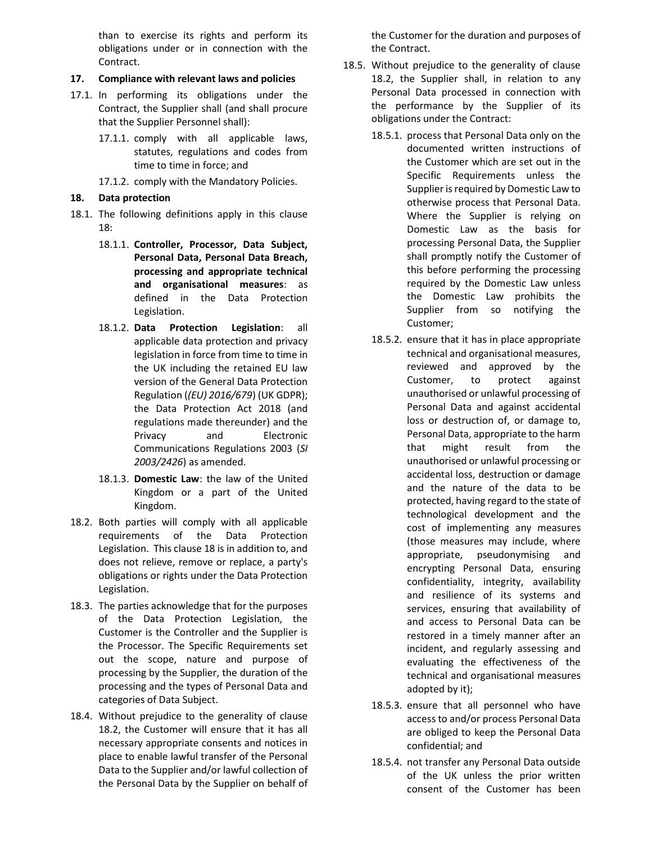than to exercise its rights and perform its obligations under or in connection with the Contract.

### 17. Compliance with relevant laws and policies

- 17.1. In performing its obligations under the Contract, the Supplier shall (and shall procure that the Supplier Personnel shall):
	- 17.1.1. comply with all applicable laws, statutes, regulations and codes from time to time in force; and
	- 17.1.2. comply with the Mandatory Policies.

# 18. Data protection

- 18.1. The following definitions apply in this clause 18:
	- 18.1.1. Controller, Processor, Data Subject, Personal Data, Personal Data Breach, processing and appropriate technical and organisational measures: as defined in the Data Protection Legislation.
	- 18.1.2. Data Protection Legislation: all applicable data protection and privacy legislation in force from time to time in the UK including the retained EU law version of the General Data Protection Regulation ((EU) 2016/679) (UK GDPR); the Data Protection Act 2018 (and regulations made thereunder) and the Privacy and Electronic Communications Regulations 2003 (SI 2003/2426) as amended.
	- 18.1.3. Domestic Law: the law of the United Kingdom or a part of the United Kingdom.
- 18.2. Both parties will comply with all applicable requirements of the Data Protection Legislation. This clause 18 is in addition to, and does not relieve, remove or replace, a party's obligations or rights under the Data Protection Legislation.
- 18.3. The parties acknowledge that for the purposes of the Data Protection Legislation, the Customer is the Controller and the Supplier is the Processor. The Specific Requirements set out the scope, nature and purpose of processing by the Supplier, the duration of the processing and the types of Personal Data and categories of Data Subject.
- 18.4. Without prejudice to the generality of clause 18.2, the Customer will ensure that it has all necessary appropriate consents and notices in place to enable lawful transfer of the Personal Data to the Supplier and/or lawful collection of the Personal Data by the Supplier on behalf of

the Customer for the duration and purposes of the Contract.

- 18.5. Without prejudice to the generality of clause 18.2, the Supplier shall, in relation to any Personal Data processed in connection with the performance by the Supplier of its obligations under the Contract:
	- 18.5.1. process that Personal Data only on the documented written instructions of the Customer which are set out in the Specific Requirements unless the Supplier is required by Domestic Law to otherwise process that Personal Data. Where the Supplier is relying on Domestic Law as the basis for processing Personal Data, the Supplier shall promptly notify the Customer of this before performing the processing required by the Domestic Law unless the Domestic Law prohibits the Supplier from so notifying the Customer;
	- 18.5.2. ensure that it has in place appropriate technical and organisational measures, reviewed and approved by the Customer, to protect against unauthorised or unlawful processing of Personal Data and against accidental loss or destruction of, or damage to, Personal Data, appropriate to the harm that might result from the unauthorised or unlawful processing or accidental loss, destruction or damage and the nature of the data to be protected, having regard to the state of technological development and the cost of implementing any measures (those measures may include, where appropriate, pseudonymising and encrypting Personal Data, ensuring confidentiality, integrity, availability and resilience of its systems and services, ensuring that availability of and access to Personal Data can be restored in a timely manner after an incident, and regularly assessing and evaluating the effectiveness of the technical and organisational measures adopted by it);
	- 18.5.3. ensure that all personnel who have access to and/or process Personal Data are obliged to keep the Personal Data confidential; and
	- 18.5.4. not transfer any Personal Data outside of the UK unless the prior written consent of the Customer has been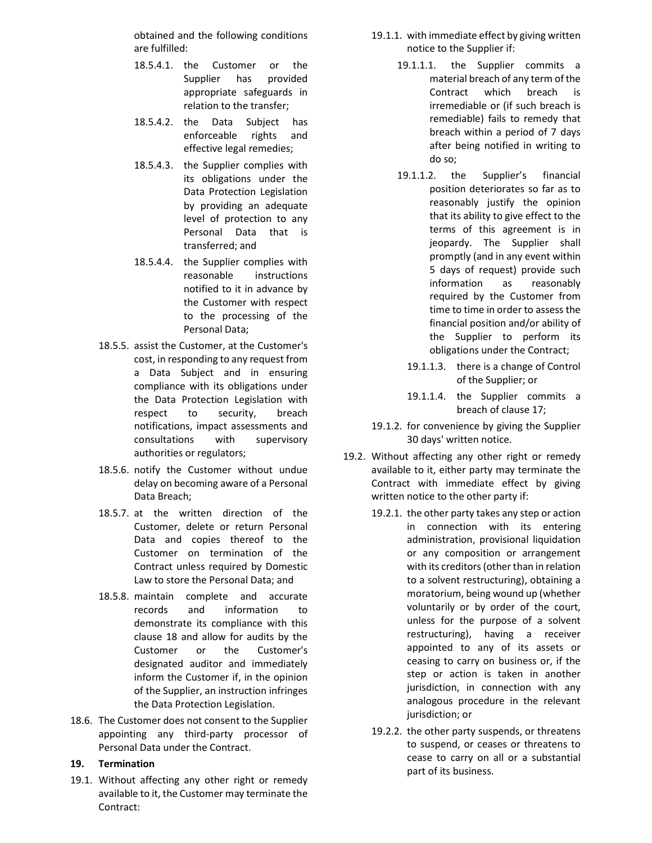obtained and the following conditions are fulfilled:

- 18.5.4.1. the Customer or the Supplier has provided appropriate safeguards in relation to the transfer;
- 18.5.4.2. the Data Subject has enforceable rights and effective legal remedies;
- 18.5.4.3. the Supplier complies with its obligations under the Data Protection Legislation by providing an adequate level of protection to any Personal Data that is transferred; and
- 18.5.4.4. the Supplier complies with reasonable instructions notified to it in advance by the Customer with respect to the processing of the Personal Data;
- 18.5.5. assist the Customer, at the Customer's cost, in responding to any request from a Data Subject and in ensuring compliance with its obligations under the Data Protection Legislation with respect to security, breach notifications, impact assessments and consultations with supervisory authorities or regulators;
- 18.5.6. notify the Customer without undue delay on becoming aware of a Personal Data Breach;
- 18.5.7. at the written direction of the Customer, delete or return Personal Data and copies thereof to the Customer on termination of the Contract unless required by Domestic Law to store the Personal Data; and
- 18.5.8. maintain complete and accurate records and information to demonstrate its compliance with this clause 18 and allow for audits by the Customer or the Customer's designated auditor and immediately inform the Customer if, in the opinion of the Supplier, an instruction infringes the Data Protection Legislation.
- 18.6. The Customer does not consent to the Supplier appointing any third-party processor of Personal Data under the Contract.

#### 19. Termination

19.1. Without affecting any other right or remedy available to it, the Customer may terminate the Contract:

- 19.1.1. with immediate effect by giving written notice to the Supplier if:
	- 19.1.1.1. the Supplier commits a material breach of any term of the Contract which breach is irremediable or (if such breach is remediable) fails to remedy that breach within a period of 7 days after being notified in writing to do so;
	- 19.1.1.2. the Supplier's financial position deteriorates so far as to reasonably justify the opinion that its ability to give effect to the terms of this agreement is in jeopardy. The Supplier shall promptly (and in any event within 5 days of request) provide such information as reasonably required by the Customer from time to time in order to assess the financial position and/or ability of the Supplier to perform its obligations under the Contract;
		- 19.1.1.3. there is a change of Control of the Supplier; or
		- 19.1.1.4. the Supplier commits a breach of clause 17;
- 19.1.2. for convenience by giving the Supplier 30 days' written notice.
- 19.2. Without affecting any other right or remedy available to it, either party may terminate the Contract with immediate effect by giving written notice to the other party if:
	- 19.2.1. the other party takes any step or action in connection with its entering administration, provisional liquidation or any composition or arrangement with its creditors (other than in relation to a solvent restructuring), obtaining a moratorium, being wound up (whether voluntarily or by order of the court, unless for the purpose of a solvent restructuring), having a receiver appointed to any of its assets or ceasing to carry on business or, if the step or action is taken in another jurisdiction, in connection with any analogous procedure in the relevant jurisdiction; or
	- 19.2.2. the other party suspends, or threatens to suspend, or ceases or threatens to cease to carry on all or a substantial part of its business.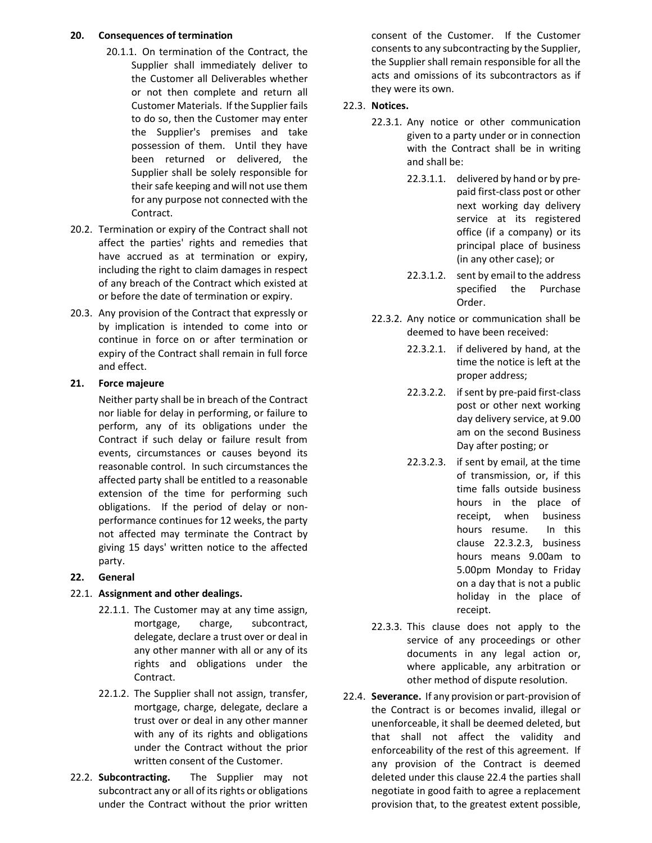### 20. Consequences of termination

- 20.1.1. On termination of the Contract, the Supplier shall immediately deliver to the Customer all Deliverables whether or not then complete and return all Customer Materials. If the Supplier fails to do so, then the Customer may enter the Supplier's premises and take possession of them. Until they have been returned or delivered, the Supplier shall be solely responsible for their safe keeping and will not use them for any purpose not connected with the Contract.
- 20.2. Termination or expiry of the Contract shall not affect the parties' rights and remedies that have accrued as at termination or expiry, including the right to claim damages in respect of any breach of the Contract which existed at or before the date of termination or expiry.
- 20.3. Any provision of the Contract that expressly or by implication is intended to come into or continue in force on or after termination or expiry of the Contract shall remain in full force and effect.

# 21. Force majeure

Neither party shall be in breach of the Contract nor liable for delay in performing, or failure to perform, any of its obligations under the Contract if such delay or failure result from events, circumstances or causes beyond its reasonable control. In such circumstances the affected party shall be entitled to a reasonable extension of the time for performing such obligations. If the period of delay or nonperformance continues for 12 weeks, the party not affected may terminate the Contract by giving 15 days' written notice to the affected party.

# 22. General

# 22.1. Assignment and other dealings.

- 22.1.1. The Customer may at any time assign, mortgage, charge, subcontract, delegate, declare a trust over or deal in any other manner with all or any of its rights and obligations under the Contract.
- 22.1.2. The Supplier shall not assign, transfer, mortgage, charge, delegate, declare a trust over or deal in any other manner with any of its rights and obligations under the Contract without the prior written consent of the Customer.
- 22.2. Subcontracting. The Supplier may not subcontract any or all of its rights or obligations under the Contract without the prior written

consent of the Customer. If the Customer consents to any subcontracting by the Supplier, the Supplier shall remain responsible for all the acts and omissions of its subcontractors as if they were its own.

# 22.3. Notices.

- 22.3.1. Any notice or other communication given to a party under or in connection with the Contract shall be in writing and shall be:
	- 22.3.1.1. delivered by hand or by prepaid first-class post or other next working day delivery service at its registered office (if a company) or its principal place of business (in any other case); or
	- 22.3.1.2. sent by email to the address specified the Purchase Order.
- 22.3.2. Any notice or communication shall be deemed to have been received:
	- 22.3.2.1. if delivered by hand, at the time the notice is left at the proper address;
	- 22.3.2.2. if sent by pre-paid first-class post or other next working day delivery service, at 9.00 am on the second Business Day after posting; or
	- 22.3.2.3. if sent by email, at the time of transmission, or, if this time falls outside business hours in the place of receipt, when business hours resume. In this clause 22.3.2.3, business hours means 9.00am to 5.00pm Monday to Friday on a day that is not a public holiday in the place of receipt.
- 22.3.3. This clause does not apply to the service of any proceedings or other documents in any legal action or, where applicable, any arbitration or other method of dispute resolution.
- 22.4. Severance. If any provision or part-provision of the Contract is or becomes invalid, illegal or unenforceable, it shall be deemed deleted, but that shall not affect the validity and enforceability of the rest of this agreement. If any provision of the Contract is deemed deleted under this clause 22.4 the parties shall negotiate in good faith to agree a replacement provision that, to the greatest extent possible,